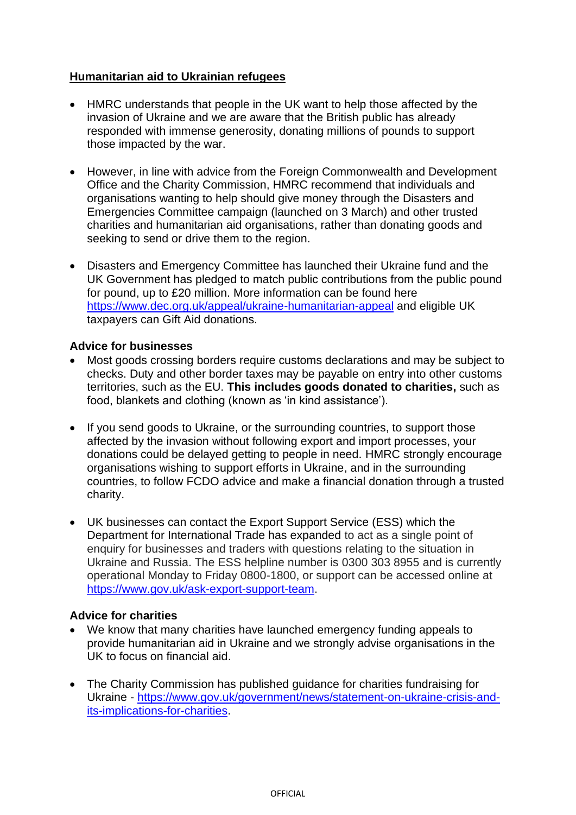## **Humanitarian aid to Ukrainian refugees**

- HMRC understands that people in the UK want to help those affected by the invasion of Ukraine and we are aware that the British public has already responded with immense generosity, donating millions of pounds to support those impacted by the war.
- However, in line with advice from the Foreign Commonwealth and Development Office and the Charity Commission, HMRC recommend that individuals and organisations wanting to help should give money through the Disasters and Emergencies Committee campaign (launched on 3 March) and other trusted charities and humanitarian aid organisations, rather than donating goods and seeking to send or drive them to the region.
- Disasters and Emergency Committee has launched their Ukraine fund and the UK Government has pledged to match public contributions from the public pound for pound, up to £20 million. More information can be found here <https://www.dec.org.uk/appeal/ukraine-humanitarian-appeal> and eligible UK taxpayers can Gift Aid donations.

## **Advice for businesses**

- Most goods crossing borders require customs declarations and may be subject to checks. Duty and other border taxes may be payable on entry into other customs territories, such as the EU. **This includes goods donated to charities,** such as food, blankets and clothing (known as 'in kind assistance').
- If you send goods to Ukraine, or the surrounding countries, to support those affected by the invasion without following export and import processes, your donations could be delayed getting to people in need. HMRC strongly encourage organisations wishing to support efforts in Ukraine, and in the surrounding countries, to follow FCDO advice and make a financial donation through a trusted charity.
- UK businesses can contact the Export Support Service (ESS) which the Department for International Trade has expanded to act as a single point of enquiry for businesses and traders with questions relating to the situation in Ukraine and Russia. The ESS helpline number is 0300 303 8955 and is currently operational Monday to Friday 0800-1800, or support can be accessed online at [https://www.gov.uk/ask-export-support-team.](https://www.gov.uk/ask-export-support-team)

## **Advice for charities**

- We know that many charities have launched emergency funding appeals to provide humanitarian aid in Ukraine and we strongly advise organisations in the UK to focus on financial aid.
- The Charity Commission has published guidance for charities fundraising for Ukraine - [https://www.gov.uk/government/news/statement-on-ukraine-crisis-and](https://www.gov.uk/government/news/statement-on-ukraine-crisis-and-its-implications-for-charities)[its-implications-for-charities.](https://www.gov.uk/government/news/statement-on-ukraine-crisis-and-its-implications-for-charities)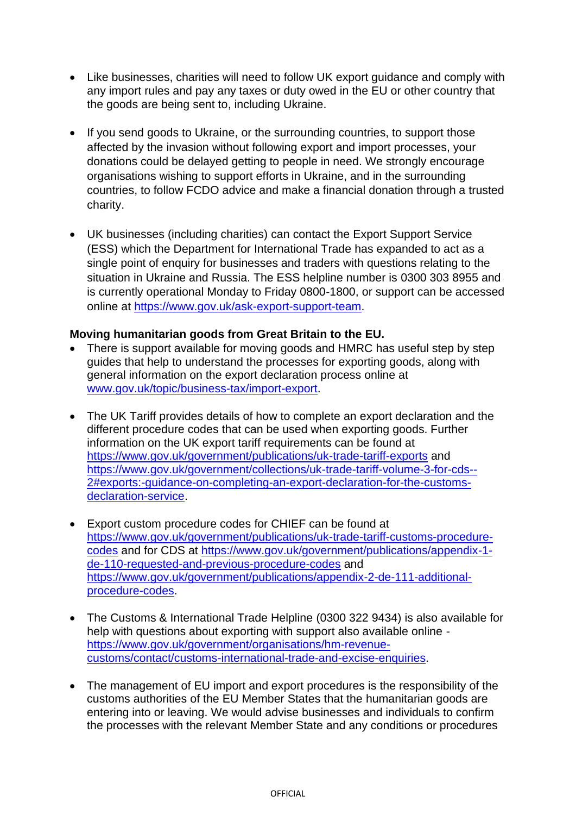- Like businesses, charities will need to follow UK export guidance and comply with any import rules and pay any taxes or duty owed in the EU or other country that the goods are being sent to, including Ukraine.
- If you send goods to Ukraine, or the surrounding countries, to support those affected by the invasion without following export and import processes, your donations could be delayed getting to people in need. We strongly encourage organisations wishing to support efforts in Ukraine, and in the surrounding countries, to follow FCDO advice and make a financial donation through a trusted charity.
- UK businesses (including charities) can contact the Export Support Service (ESS) which the Department for International Trade has expanded to act as a single point of enquiry for businesses and traders with questions relating to the situation in Ukraine and Russia. The ESS helpline number is 0300 303 8955 and is currently operational Monday to Friday 0800-1800, or support can be accessed online at [https://www.gov.uk/ask-export-support-team.](https://www.gov.uk/ask-export-support-team)

## **Moving humanitarian goods from Great Britain to the EU.**

- There is support available for moving goods and HMRC has useful step by step guides that help to understand the processes for exporting goods, along with general information on the export declaration process online at [www.gov.uk/topic/business-tax/import-export.](http://www.gov.uk/topic/business-tax/import-export)
- The UK Tariff provides details of how to complete an export declaration and the different procedure codes that can be used when exporting goods. Further information on the UK export tariff requirements can be found at <https://www.gov.uk/government/publications/uk-trade-tariff-exports> and [https://www.gov.uk/government/collections/uk-trade-tariff-volume-3-for-cds--](https://eur03.safelinks.protection.outlook.com/?url=https%3A%2F%2Fukwestr-notifyp.svc.ms%2Fapi%2Fv2%2Ftracking%2Fmethod%2FClick%3Fmi%3DLh_IrF6es0a08mBfXhUMSQ%26tc%3DLink%26cs%3Ddd33e29c87266e565aa0206af7055142%26ru%3Dhttps%253a%252f%252fwww.gov.uk%252fgovernment%252fcollections%252fuk-trade-tariff-volume-3-for-cds--2%2523exports%253a-guidance-on-completing-an-export-declaration-for-the-customs-declaration-service&data=04%7C01%7Cjill.coyne%40hmrc.gov.uk%7C26176f606b294e93378808d9fd38be2e%7Cac52f73cfd1a4a9a8e7a4a248f3139e1%7C0%7C0%7C637819242594653788%7CUnknown%7CTWFpbGZsb3d8eyJWIjoiMC4wLjAwMDAiLCJQIjoiV2luMzIiLCJBTiI6Ik1haWwiLCJXVCI6Mn0%3D%7C3000&sdata=6uyJZEUEYJzwEWapHYEhSb2za0HyZAt7VPDxRMx3yXE%3D&reserved=0) [2#exports:-guidance-on-completing-an-export-declaration-for-the-customs](https://eur03.safelinks.protection.outlook.com/?url=https%3A%2F%2Fukwestr-notifyp.svc.ms%2Fapi%2Fv2%2Ftracking%2Fmethod%2FClick%3Fmi%3DLh_IrF6es0a08mBfXhUMSQ%26tc%3DLink%26cs%3Ddd33e29c87266e565aa0206af7055142%26ru%3Dhttps%253a%252f%252fwww.gov.uk%252fgovernment%252fcollections%252fuk-trade-tariff-volume-3-for-cds--2%2523exports%253a-guidance-on-completing-an-export-declaration-for-the-customs-declaration-service&data=04%7C01%7Cjill.coyne%40hmrc.gov.uk%7C26176f606b294e93378808d9fd38be2e%7Cac52f73cfd1a4a9a8e7a4a248f3139e1%7C0%7C0%7C637819242594653788%7CUnknown%7CTWFpbGZsb3d8eyJWIjoiMC4wLjAwMDAiLCJQIjoiV2luMzIiLCJBTiI6Ik1haWwiLCJXVCI6Mn0%3D%7C3000&sdata=6uyJZEUEYJzwEWapHYEhSb2za0HyZAt7VPDxRMx3yXE%3D&reserved=0)[declaration-service.](https://eur03.safelinks.protection.outlook.com/?url=https%3A%2F%2Fukwestr-notifyp.svc.ms%2Fapi%2Fv2%2Ftracking%2Fmethod%2FClick%3Fmi%3DLh_IrF6es0a08mBfXhUMSQ%26tc%3DLink%26cs%3Ddd33e29c87266e565aa0206af7055142%26ru%3Dhttps%253a%252f%252fwww.gov.uk%252fgovernment%252fcollections%252fuk-trade-tariff-volume-3-for-cds--2%2523exports%253a-guidance-on-completing-an-export-declaration-for-the-customs-declaration-service&data=04%7C01%7Cjill.coyne%40hmrc.gov.uk%7C26176f606b294e93378808d9fd38be2e%7Cac52f73cfd1a4a9a8e7a4a248f3139e1%7C0%7C0%7C637819242594653788%7CUnknown%7CTWFpbGZsb3d8eyJWIjoiMC4wLjAwMDAiLCJQIjoiV2luMzIiLCJBTiI6Ik1haWwiLCJXVCI6Mn0%3D%7C3000&sdata=6uyJZEUEYJzwEWapHYEhSb2za0HyZAt7VPDxRMx3yXE%3D&reserved=0)
- Export custom procedure codes for CHIEF can be found at [https://www.gov.uk/government/publications/uk-trade-tariff-customs-procedure](https://www.gov.uk/government/publications/uk-trade-tariff-customs-procedure-codes)[codes](https://www.gov.uk/government/publications/uk-trade-tariff-customs-procedure-codes) and for CDS at [https://www.gov.uk/government/publications/appendix-1](https://www.gov.uk/government/publications/appendix-1-de-110-requested-and-previous-procedure-codes) [de-110-requested-and-previous-procedure-codes](https://www.gov.uk/government/publications/appendix-1-de-110-requested-and-previous-procedure-codes) and [https://www.gov.uk/government/publications/appendix-2-de-111-additional](https://www.gov.uk/government/publications/appendix-2-de-111-additional-procedure-codes)[procedure-codes.](https://www.gov.uk/government/publications/appendix-2-de-111-additional-procedure-codes)
- The Customs & International Trade Helpline (0300 322 9434) is also available for help with questions about exporting with support also available online [https://www.gov.uk/government/organisations/hm-revenue](https://www.gov.uk/government/organisations/hm-revenue-customs/contact/customs-international-trade-and-excise-enquiries)[customs/contact/customs-international-trade-and-excise-enquiries.](https://www.gov.uk/government/organisations/hm-revenue-customs/contact/customs-international-trade-and-excise-enquiries)
- The management of EU import and export procedures is the responsibility of the customs authorities of the EU Member States that the humanitarian goods are entering into or leaving. We would advise businesses and individuals to confirm the processes with the relevant Member State and any conditions or procedures